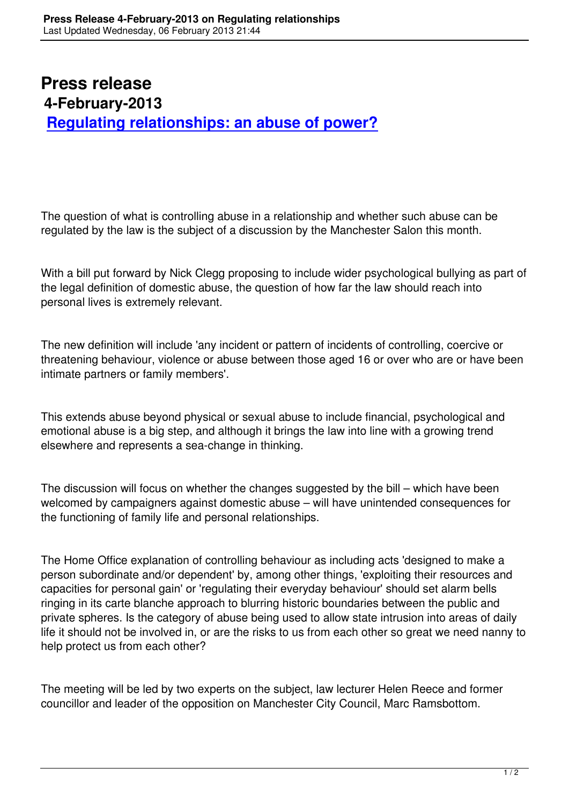## **Press release 4-February-2013 Regulating relationships: an abuse of power?**

The question of what is controlling abuse in a relationship and whether such abuse can be regulated by the law is the subject of a discussion by the Manchester Salon this month.

With a bill put forward by Nick Clegg proposing to include wider psychological bullying as part of the legal definition of domestic abuse, the question of how far the law should reach into personal lives is extremely relevant.

The new definition will include 'any incident or pattern of incidents of controlling, coercive or threatening behaviour, violence or abuse between those aged 16 or over who are or have been intimate partners or family members'.

This extends abuse beyond physical or sexual abuse to include financial, psychological and emotional abuse is a big step, and although it brings the law into line with a growing trend elsewhere and represents a sea-change in thinking.

The discussion will focus on whether the changes suggested by the bill – which have been welcomed by campaigners against domestic abuse – will have unintended consequences for the functioning of family life and personal relationships.

The Home Office explanation of controlling behaviour as including acts 'designed to make a person subordinate and/or dependent' by, among other things, 'exploiting their resources and capacities for personal gain' or 'regulating their everyday behaviour' should set alarm bells ringing in its carte blanche approach to blurring historic boundaries between the public and private spheres. Is the category of abuse being used to allow state intrusion into areas of daily life it should not be involved in, or are the risks to us from each other so great we need nanny to help protect us from each other?

The meeting will be led by two experts on the subject, law lecturer Helen Reece and former councillor and leader of the opposition on Manchester City Council, Marc Ramsbottom.